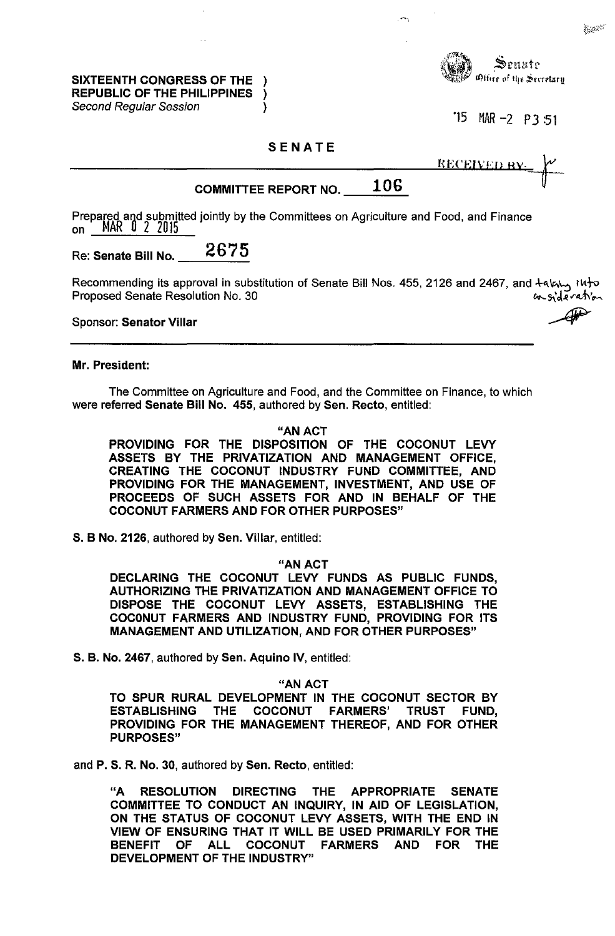SIXTEENTH CONGRESS OF THE ) REPUBLIC OF THE PHILIPPINES ) Second Regular Session (1998)



'15 MAR-2 P3:51

## SENATE

| RECEIVED BY- |  |
|--------------|--|
|              |  |

# COMMITTEE REPORT NO.  $106$

Prepared and submitted jointly by the Committees on Agriculture and Food, and Finance on MAR U 2 2015

# Re: Senate Bill No. 2675

Recommending its approval in substitution of Senate Bill Nos. 455, 2126 and 2467, and  $+a' \kappa \mapsto$ Proposed Senate Resolution No. 30 consideration

Sponsor: Senator Villar

#### Mr. President:

The Committee on Agriculture and Food, and the Committee on Finance, to which were referred Senate Bill No. 455, authored by Sen. Recto, entitled:

#### "AN ACT

PROVIDING FOR THE DISPOSITION OF THE COCONUT LEVY ASSETS BY THE PRIVATIZATION AND MANAGEMENT OFFICE, CREATING THE COCONUT INDUSTRY FUND COMMITTEE, AND PROVIDING FOR THE MANAGEMENT, INVESTMENT, AND USE OF PROCEEDS OF SUCH ASSETS FOR AND IN BEHALF OF THE COCONUT FARMERS AND FOR OTHER PURPOSES"

S. B No. 2126, authored by Sen. Villar, entitled:

#### "AN ACT

DECLARING THE COCONUT LEVY FUNDS AS PUBLIC FUNDS, AUTHORIZING THE PRIVATIZATION AND MANAGEMENT OFFICE TO DISPOSE THE COCONUT LEVY ASSETS, ESTABLISHING THE COCONUT FARMERS AND INDUSTRY FUND, PROVIDING FOR ITS MANAGEMENT AND UTILIZATION, AND FOR OTHER PURPOSES"

S. B. No. 2467, authored by Sen. Aquino IV, entitled:

"AN ACT

TO SPUR RURAL DEVELOPMENT IN THE COCONUT SECTOR BY ESTABLISHING THE COCONUT FARMERS' TRUST FUND, PROVIDING FOR THE MANAGEMENT THEREOF, AND FOR OTHER PURPOSES"

and P. S. R. No. 30, authored by Sen. Recto, entitled:

"A RESOLUTION DIRECTING THE APPROPRIATE SENATE COMMITTEE TO CONDUCT AN INQUIRY, IN AID OF LEGISLATION, ON THE STATUS OF COCONUT LEVY ASSETS, WITH THE END IN VIEW OF ENSURING THAT IT WILL BE USED PRIMARILY FOR THE BENEFIT OF ALL COCONUT FARMERS AND FOR THE DEVELOPMENT OF THE INDUSTRY"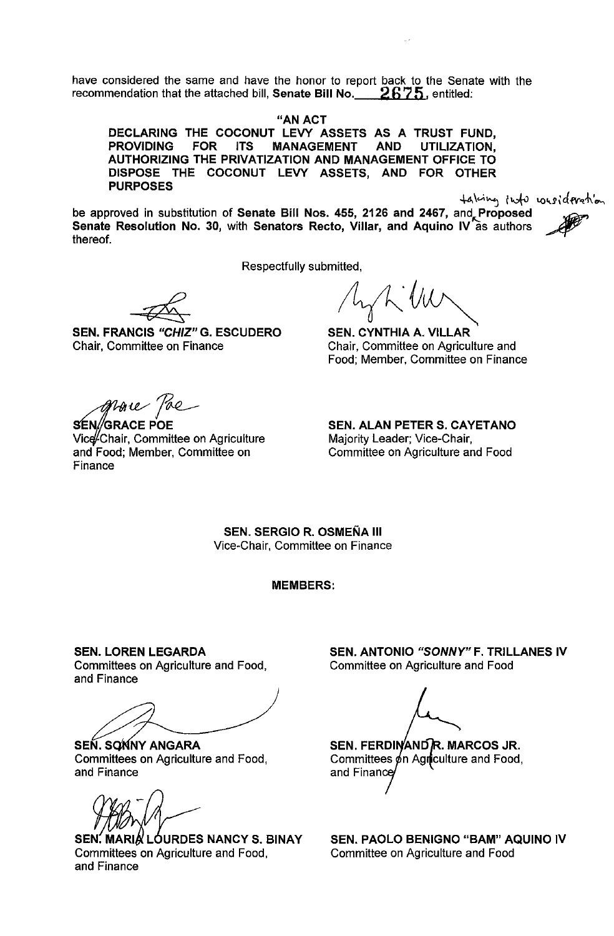have considered the same and have the honor to report back to the Senate with the recommendation that the attached bill, Senate Bill No. **2675,** entitled:

"AN ACT

DECLARING THE COCONUT LEVY ASSETS AS A TRUST FUND, PROVIDING FOR ITS MANAGEMENT AND UTILIZATION. PROVIDING FOR ITS MANAGEMENT AND UTILIZATION, AUTHORIZING THE PRIVATIZATION AND MANAGEMENT OFFICE TO DISPOSE THE COCONUT LEVY ASSETS, AND FOR OTHER PURPOSES

 $+$  alcing  $\int h f v \, dv$  were  $d$  fresh on

be approved in substitution of Senate Bill Nos. 455, 2126 and 2467, and Proposed Senate Resolution No. 30, with Senators Recto, Villar, and Aquino IV as authors thereof.

Respectfully submitted,

SEN. FRANCIS "CHIZ" G. ESCUDERO Chair, Committee on Finance

 $/h\gamma h$  VW

SEN. CYNTHIA A. VILLAR Chair, Committee on Agriculture and Food; Member, Committee on Finance

*U/ftAfL--*

SENG<br>Vice-Ch<br>and Foc<br>Finance N//GRACE POE Vice Chair, Committee on Agriculture and Food; Member, Committee on Finance

SEN. ALAN PETER S. CAYETANO Majority Leader; Vice-Chair, Committee on Agriculture and Food

SEN. SERGIO R. OSMEÑA III Vice-Chair, Committee on Finance

MEMBERS:

SEN. LOREN LEGARDA Committees on Agriculture and Food, and Finance

SEN. SONNY ANGARA Committees on Agriculture and Food, and Finance

SEN, MARIA LOURDES NANCY S. BINAY Committees on Agriculture and Food. and Finance

SEN. ANTONIO *"SONNY"* F. TRILLANES IV Committee on Agriculture and Food

Committees  $\phi$ n Agnculture and Food, and Finan SEN. FERDINAND R. MARCOS JR.

SEN. PAOLO BENIGNO "BAM" AQUINO IV Committee on Agriculture and Food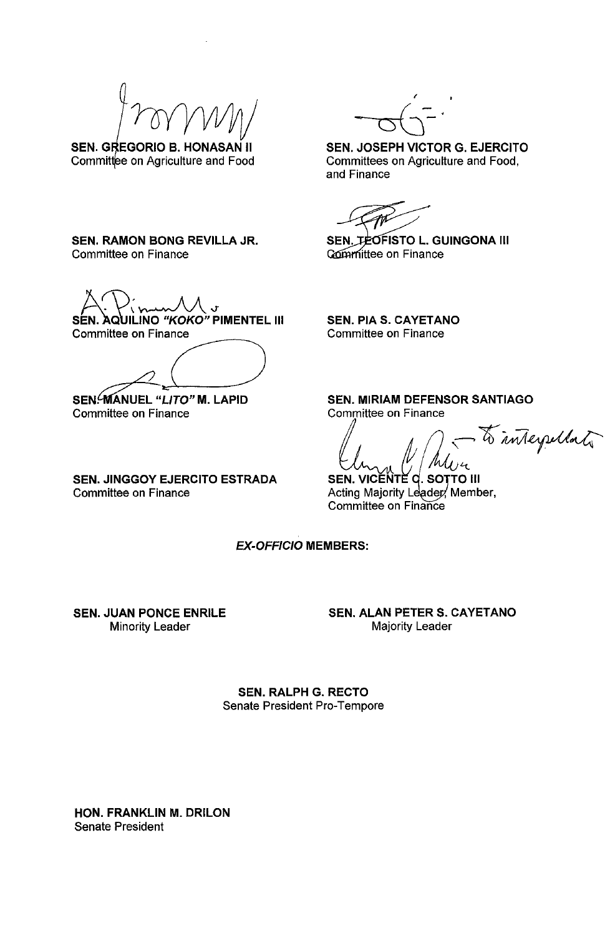SEN. GREGORIO B. HONASAN II Committee on Agriculture and Food

SEN. RAMON BONG REVILLA JR. Committee on Finance

 $A.\n$ inun $M_J$ SEN. AQUILINO "KOKO" PIMENTEL III<br>Committee on Finance  $\overline{~}$ 

SEN?MANUEL *"L/TO"* M. LAPID Committee on Finance

SEN. JINGGOY EJERCITO ESTRADA Committee on Finance

(

SEN. JOSEPH VICTOR G. EJERCITO Committees on Agriculture and Food, and Finance

SEN. JEOFISTO L. GUINGONA III Committee on Finance

SEN. PIA S. CAYETANO Committee on Finance

SEN. MIRIAM DEFENSOR SANTIAGO Committee on Finance

to interpollate

**SEN. VICENTE C. SOTTO III**<br>SEN. VICENTE C. SOTTO III<br>Acting Majority Leader Memb TO III Acting Majority Leader, Member, Committee on Finance

EX-OFFICIO MEMBERS:

SEN. JUAN PONCE ENRILE Minority Leader

SEN. ALAN PETER S. CAYETANO Majority Leader

SEN. RALPH G. RECTO Senate President Pro-Tempore

HON. FRANKLIN M. DRILON Senate President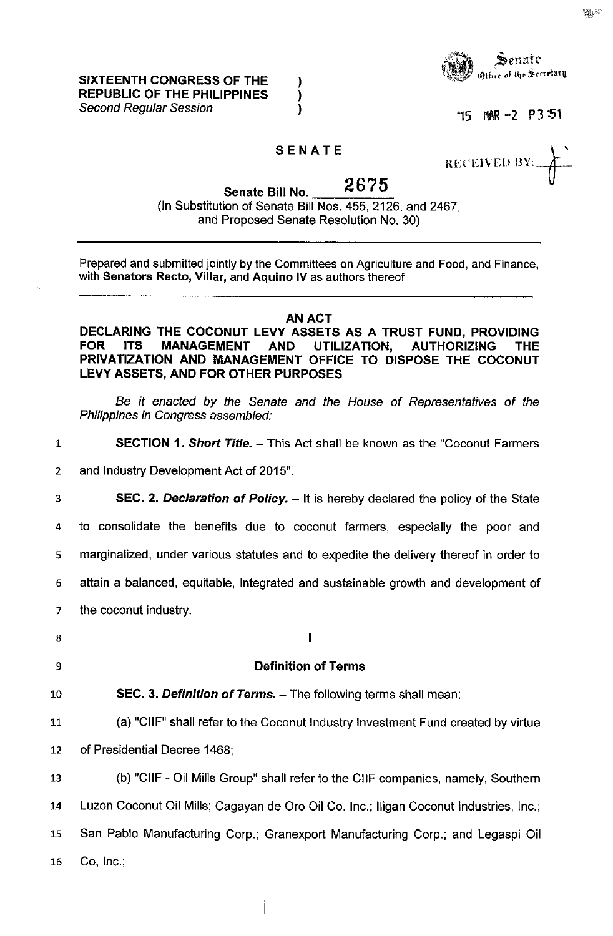SIXTEENTH CONGRESS OF THE REPUBLIC OF THE PHILIPPINES Second Regular Session



"15 I1AR-2 P3:51

## SENATE

) ) )

RECEIVED BY:

Senate Bill No.  $2675$ (In Substitution of Senate Bill Nos. 455, 2126, and 2467, and Proposed Senate Resolution No. 30)

Prepared and submitted jointly by the Committees on Agriculture and Food, and Finance, with Senators Recto, Villar, and Aquino IV as authors thereof

#### AN ACT

DECLARING THE COCONUT LEVY ASSETS AS A TRUST FUND, PROVIDING<br>FOR ITS MANAGEMENT AND UTILIZATION. AUTHORIZING THE ITS MANAGEMENT AND UTILIZATION, AUTHORIZING THE PRIVATIZATION AND MANAGEMENT OFFICE TO DISPOSE THE COCONUT LEVY ASSETS, AND FOR OTHER PURPOSES

Be it enacted by the Senate and the House of Representatives of the Philippines in Congress assembled:

1 **SECTION 1. Short Title.** - This Act shall be known as the "Coconut Farmers"

2 and Industry Development Act of 2015".

**SEC. 2. Declaration of Policy.** - It is hereby declared the policy of the State

4 to consolidate the benefits due to coconut farmers, especially the poor and

5 marginalized, under various statutes and to expedite the delivery thereof in order to

6 attain a balanced, equitable, integrated and sustainable growth and development of

 $\mathbf{I}$ 

7 the coconut industry.

8

- 9 Definition of Terms
- 10 **SEC. 3. Definition of Terms.** The following terms shall mean:
- 11 (a) "CIIF" shall refer to the Coconut Industry Investment Fund created by virtue 12 of Presidential Decree 1468;

13 (b) "CIIF - Oil Mills Group" shall refer to the CIIF companies, namely, Southern Luzon Coconut Oil Mills; Cagayan de Oro Oil Co. Inc.; lIigan Coconut Industries, Inc.; San Pablo Manufacturing Corp.; Granexport Manufacturing Corp.; and Legaspi Oil Co, Inc.;

**Military**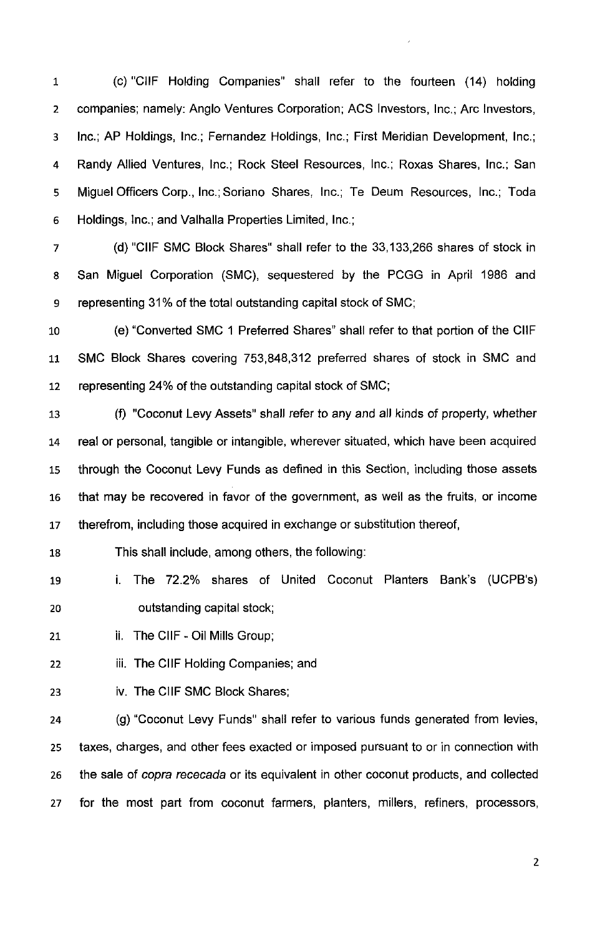1 (C) "CIIF Holding Companies" shall refer to the fourteen (14) holding 2 companies; namely: Anglo Ventures Corporation; ACS Investors, Inc.; Arc Investors, 3 Inc.; AP Holdings, Inc.; Fernandez Holdings, Inc.; First Meridian Development, Inc.; 4 Randy Allied Ventures, Inc.; Rock Steel Resources, Inc.; Roxas Shares, Inc.; San 5 Miguel Officers Corp., Inc.; Soriano Shares, Inc.; Te Deum Resources, Inc.; Toda 6 Holdings, Inc.; and Valhalla Properties Limited, Inc.;

7 (d) "CIIF SMC Block Shares" shall refer to the 33,133,266 shares of stock in 8 San Miguel Corporation (SMC), sequestered by the PCGG in April 1986 and 9 representing 31% of the total outstanding capital stock of SMC;

10 (e) "Converted SMC 1 Preferred Shares" shall refer to that portion of the CIIF 11 SMC Block Shares covering 753,848,312 preferred shares of stock in SMC and 12 representing 24% of the outstanding capital stock of SMC;

13 (f) "Coconut Levy Assets" shall refer to any and all kinds of property, whether 14 real or personal, tangible or intangible, wherever situated, which have been acquired 15 through the Coconut Levy Funds as defined in this Section, including those assets 16 that may be recovered in favor of the government, as well as the fruits, or income 17 therefrom, including those acquired in exchange or substitution thereof,

18 This shall include, among others, the following:

19 i. The 72.2% shares of United Coconut Planters Bank's (UCPB's) 20 outstanding capital stock;

21 **ii.** The CIIF - Oil Mills Group;

22 **iii.** The CIIF Holding Companies; and

23 iv. The CIIF SMC Block Shares;

24 (g) "Coconut Levy Funds" shall refer to various funds generated from levies, 25 taxes, charges, and other fees exacted or imposed pursuant to or in connection with 26 the sale of copra rececada or its equivalent in other coconut products, and collected 27 for the most part from coconut farmers, planters, millers, refiners, processors,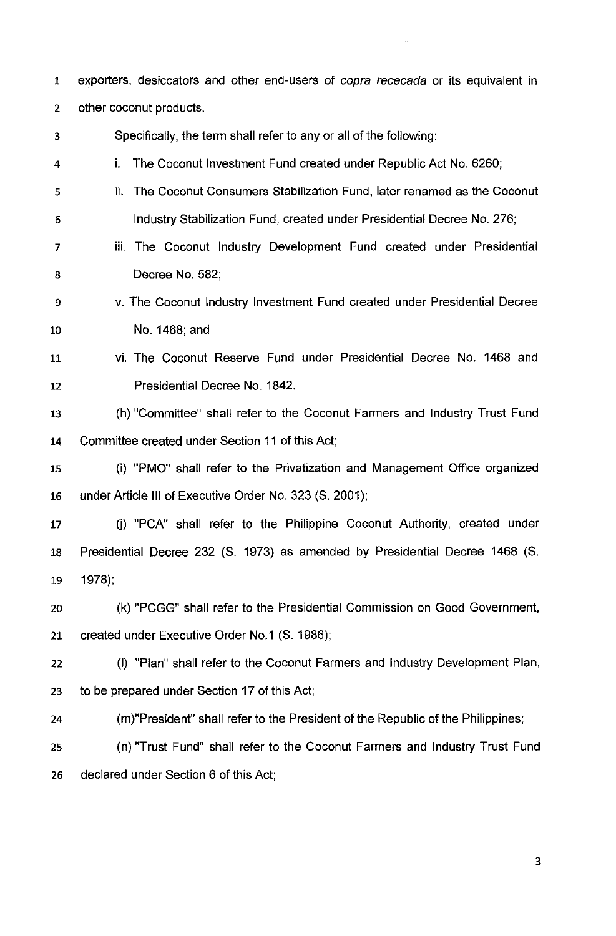1 exporters, desiccators and other end-users of copra rececada or its equivalent in other coconut products.

Specifically, the term shall refer to any or all of the following:

- i. The Coconut Investment Fund created under Republic Act No. 6260;
- 5 ii. The Coconut Consumers Stabilization Fund, later renamed as the Coconut Industry Stabilization Fund, created under Presidential Decree No. 276;
- iii. The Coconut Industry Development Fund created under Presidential Decree No. 582;
- v. The Coconut Industry Investment Fund created under Presidential Decree 10 No. 1468; and
- 11 vi. The Coconut Reserve Fund under Presidential Decree No. 1468 and Presidential Decree No. 1842.
- 13 (h) "Committee" shall refer to the Coconut Farmers and Industry Trust Fund Committee created under Section **11** of this Act;
- (i) "PMO" shall refer to the Privatization and Management Office organized 16 under Article **III** of Executive Order No. 323 (S. 2001);
- 17 G) "PCA" shall refer to the Philippine Coconut Authority, created under Presidential Decree 232 (S. 1973) as amended by Presidential Decree 1468 (S. 1978);
- 20 (k) "PCGG" shall refer to the Presidential Commission on Good Government, created under Executive Order No.1 (S. 1986);

(I) "Plan" shall refer to the Coconut Farmers and Industry Development Plan, to be prepared under Section 17 of this Act;

(m)"President" shall refer to the President of the Republic of the Philippines;

(n) "Trust Fund" shall refer to the Coconut Farmers and Industry Trust Fund declared under Section 6 of this Act;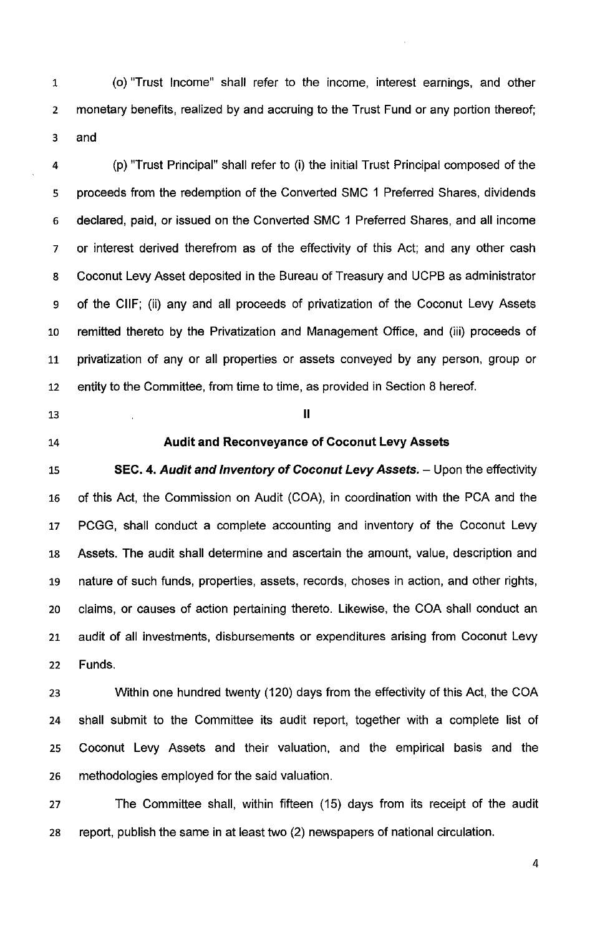1 (0) "Trust Income" shall refer to the income, interest earnings, and other monetary benefits, realized by and accruing to the Trust Fund or any portion thereof; 3 and

(p) "Trust Principal" shall refer to (i) the initial Trust Principal composed of the proceeds from the redemption of the Converted SMC 1 Preferred Shares, dividends declared, paid, or issued on the Converted SMC 1 Preferred Shares, and all income or interest derived therefrom as of the effectivity of this Act; and any other cash Coconut Levy Asset deposited in the Bureau of Treasury and UCPB as administrator 9 of the CIIF; (ii) any and all proceeds of privatization of the Coconut Levy Assets remitted thereto by the Privatization and Management Office, and (iii) proceeds of privatization of any or all properties or assets conveyed by any person, group or entity to the Committee, from time to time, as provided in Section 8 hereof.

- $\blacksquare$ 13 III
- 

# **Audit and Reconveyance of Coconut Levy Assets**

**SEC. 4. Audit and Inventory of Coconut Levy Assets.** - Upon the effectivity of this Act, the Commission on Audit (COA), in coordination with the PCA and the PCGG, shall conduct a complete accounting and inventory of the Coconut Levy Assets. The audit shall determine and ascertain the amount, value, description and nature of such funds, properties, assets, records, choses in action, and other rights, claims, or causes **of** action pertaining thereto. Likewise, the COA shall conduct an audit of all investments, disbursements or expenditures arising from Coconut Levy Funds.

Within one hundred twenty (120) days from the effectivity of this Act, the COA shall submit to the Committee its audit report, together with a complete list of Coconut Levy Assets and their valuation, and the empirical basis and the methodologies employed for the said valuation.

The Committee shall, within fifteen (15) days from its receipt of the audit report, publish the same in at least two (2) newspapers of national circulation.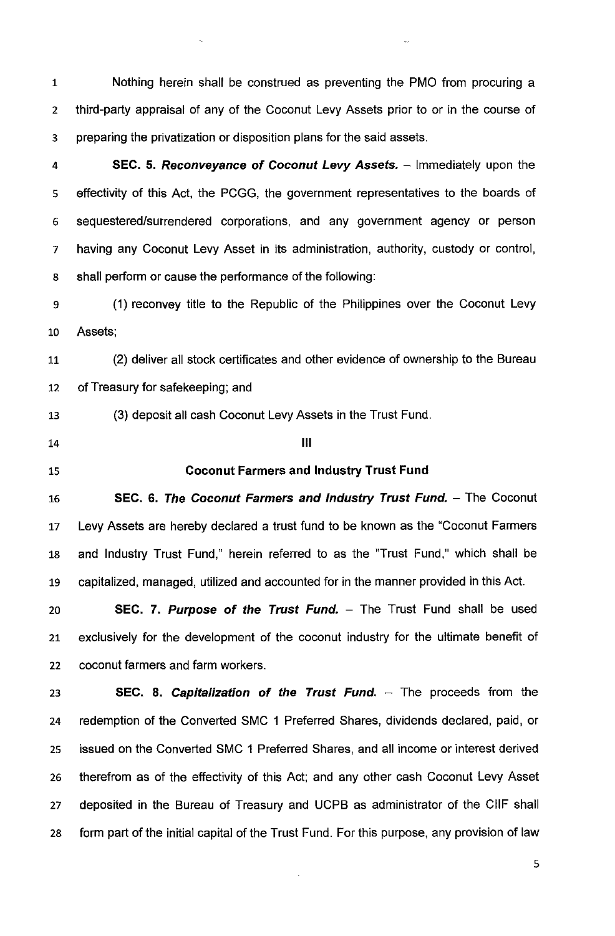1 Nothing herein shall be construed as preventing the PMO from procuring a 2 third-party appraisal of any of the Coconut Levy Assets prior to or in the course of 3 preparing the privatization or disposition plans for the said assets.

4 SEC. 5. Reconveyance of Coconut Levy Assets. - Immediately upon the 5 effectivity of this Act, the PCGG, the government representatives to the boards of 6 sequestered/surrendered corporations, and any government agency or person 7 having any Coconut Levy Asset in its administration, authority, custody or control, 8 shall perform or cause the performance of the following:

9 (1) reconvey title to the Republic of the Philippines over the Coconut Levy 10 Assets;

11 (2) deliver all stock certificates and other evidence of ownership to the Bureau 12 of Treasury for safekeeping; and

13 (3) deposit all cash Coconut Levy Assets in the Trust Fund.

 $\blacksquare$ 14  $\blacksquare$ 

#### 15 Coconut Farmers and Industry Trust Fund

16 SEC. 6. The Coconut Farmers and Industry Trust Fund. - The Coconut Levy Assets are hereby declared a trust fund to be known as the "Coconut Farmers and Industry Trust Fund," herein referred to as the "Trust Fund," which shall be capitalized, managed, utilized and accounted for in the manner provided in this Act.

20 **SEC. 7. Purpose of the Trust Fund.** - The Trust Fund shall be used 21 exclusively for the development of the coconut industry for the ultimate benefit of 22 coconut farmers and farm workers.

23 SEC. 8. Capitalization of the Trust Fund.  $-$  The proceeds from the 24 redemption of the Converted SMC 1 Preferred Shares, dividends declared, paid, or 25 issued on the Converted SMC 1 Preferred Shares, and all income or interest derived 26 therefrom as of the effectivity of this Act; and any other cash Coconut Levy Asset 27 deposited in the Bureau of Treasury and UCPB as administrator of the CIIF shall 28 form part of the initial capital of the Trust Fund. For this purpose, any provision of law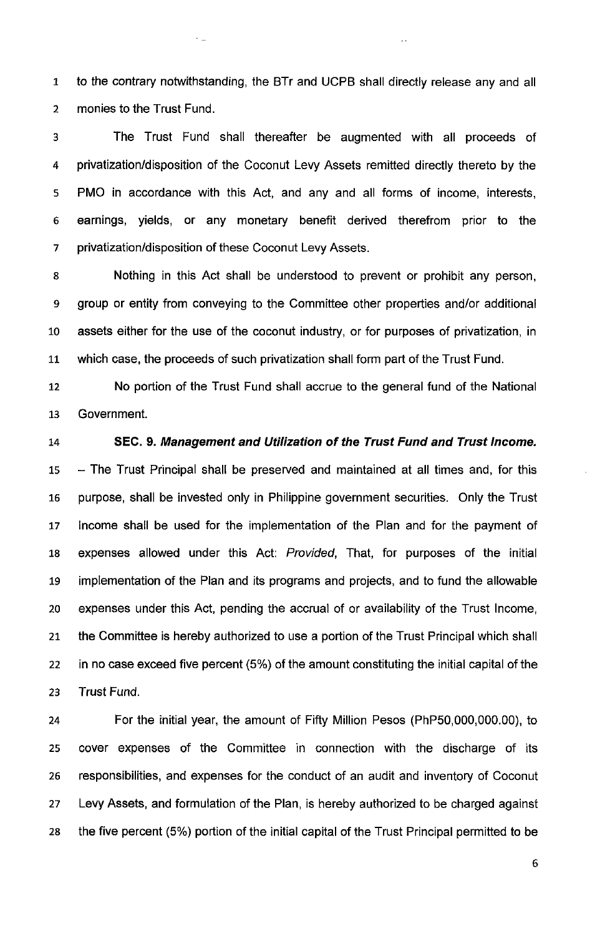1 to the contrary notwithstanding, the BTr and UCPB shall directly release any and all 2 monies to the Trust Fund.

V.

 $\epsilon_{\rm{obs}}$ 

3 The Trust Fund shall thereafter be augmented with all proceeds of 4 privatization/disposition of the Coconut Levy Assets remitted directly thereto by the 5 PMO in accordance with this Act, and any and all forms of income, interests, 6 earnings, yields, or any monetary benefit derived therefrom prior to the 7 privatization/disposition of these Coconut Levy Assets.

8 Nothing in this Act shall be understood to prevent or prohibit any person, 9 group or entity from conveying to the Committee other properties and/or additional 10 assets either for the use of the coconut industry, or for purposes of privatization, in 11 which case, the proceeds of such privatization shall form part of the Trust Fund.

12 No portion of the Trust Fund shall accrue to the general fund of the National 13 Government.

# 14 SEC. 9. Management and Utilization of the Trust Fund and Trust Income.

15 - The Trust Principal shall be preserved and maintained at all times and, for this 16 purpose, shall be invested only in Philippine government securities. Only the Trust 17 Income shall be used for the implementation of the Plan and for the payment of 18 expenses allowed under this Act: Provided, That, for purposes of the initial 19 implementation of the Plan and its programs and projects, and to fund the allowable 20 expenses under this Act, pending the accrual of or availability of the Trust Income, 21 the Committee is hereby authorized to use a portion of the Trust Principal which shall 22 in no case exceed five percent (5%) of the amount constituting the initial capital of the 23 Trust Fund.

24 For the initial year, the amount of Fifty Million Pesos (PhP50,OOO,OOO.OO), to 25 cover expenses of the Committee in connection with the discharge of its 26 responsibilities, and expenses for the conduct of an audit and inventory of Coconut 27 Levy Assets, and formulation of the Plan, is hereby authorized to be charged against 28 the five percent (5%) portion of the initial capital of the Trust Principal permitted to be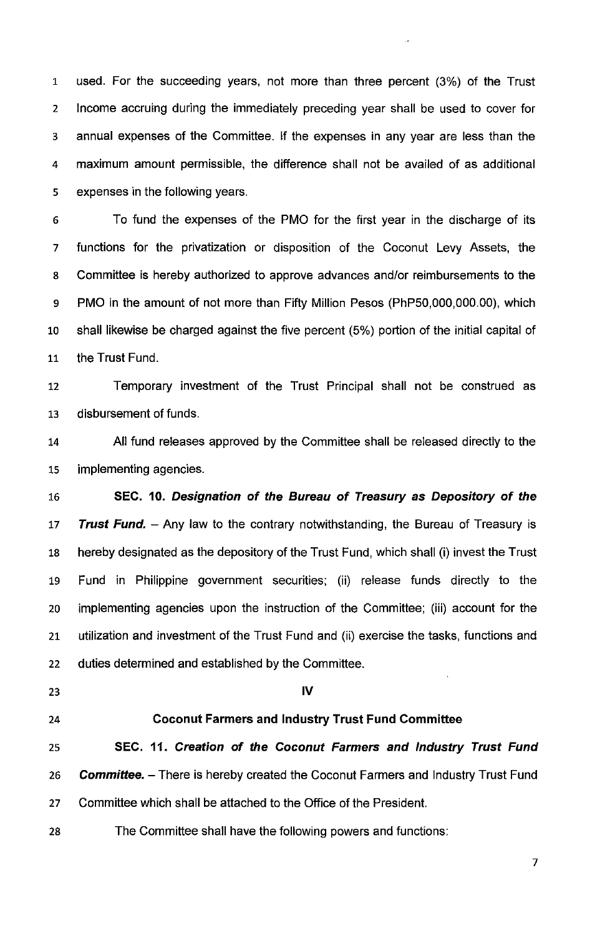1 used. For the succeeding years, not more than three percent (3%) of the Trust 2 Income accruing during the immediately preceding year shall be used to cover for 3 annual expenses of the Committee. If the expenses in any year are less than the 4 maximum amount permissible, the difference shall not be availed of as additional 5 expenses in the following years.

6 To fund the expenses of the PMO for the first year in the discharge of its 7 functions for the privatization or disposition of the Coconut Levy Assets, the 8 Committee is hereby authorized to approve advances and/or reimbursements to the 9 PMO in the amount of not more than Fifty Million Pesos (PhP50,OOO,OOO.OO), which 10 shall likewise be charged against the five percent (5%) portion of the initial capital of 11 the Trust Fund.

12 Temporary investment of the Trust Principal shall not be construed as 13 disbursement of funds.

14 All fund releases approved by the Committee shall be released directly to the 15 implementing agencies.

16 **SEC. 10. Designation of the Bureau of Treasury as Depository of the**  *17* **Trust Fund.** - Any law to the contrary notwithstanding, the Bureau of Treasury is 18 hereby designated as the depository of the Trust Fund, which shall (i) invest the Trust 19 Fund in Philippine government securities; (ii) release funds directly to the 20 implementing agencies upon the instruction of the Committee; (iii) account for the 21 utilization and investment of the Trust Fund and (ii) exercise the tasks, functions and 22 duties determined and established by the Committee.

#### 23 **IV**

## 24 **Coconut Farmers and Industry Trust Fund Committee**

25 **SEC. 11. Creation of the Coconut Farmers and Industry Trust Fund**  *26* **Committee.** - There **is** hereby created the Coconut Farmers and Industry Trust Fund 27 Committee which shall be attached to the Office of the President.

28 The Committee shall have the following powers and functions: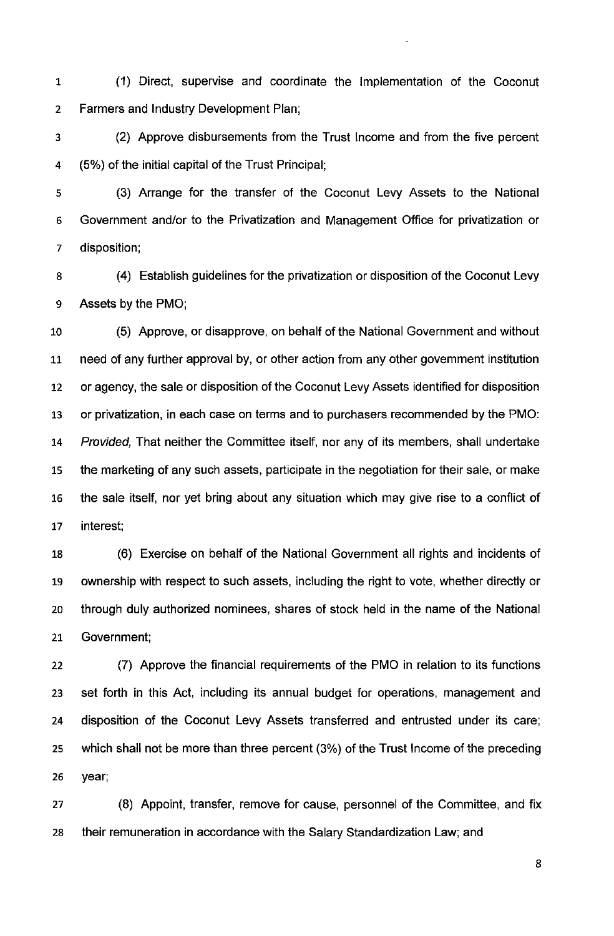1 (1) Direct, supervise and coordinate the Implementation of the Coconut Farmers and Industry Development Plan;

3 (2) Approve disbursements from the Trust Income and from the five percent 4 (5%) of the initial capital of the Trust Principal;

(3) Arrange for the transfer of the Coconut Levy Assets to the National Government and/or to the Privatization and Management Office for privatization or disposition;

8 (4) Establish guidelines for the privatization or disposition of the Coconut Levy 9 Assets by the PMO;

10 (5) Approve, or disapprove, on behalf of the National Government and without 11 need of any further approval by, or other action from any other govemment institution or agency, the sale or disposition of the Coconut Levy Assets identified for disposition or privatization, in each case on terms and to purchasers recommended by the PMO: Provided, That neither the Committee itself, nor any of its members, shall undertake the marketing of any such assets, participate in the negotiation for their sale, or make 16 the sale itself, nor yet bring about any situation which may give rise to a conflict of interest;

(6) Exercise on behalf of the National Government all rights and incidents of ownership with respect to such assets, including the right to vote, whether directly or through duly authorized nominees, shares of stock held in the name of the National Government;

(7) Approve the financial requirements of the PMO in relation to its functions set forth in this Act, including its annual budget for operations, management and disposition of the Coconut Levy Assets transferred and entrusted under its care; which shall not be more than three percent (3%) of the Trust Income of the preceding year;

27 (8) Appoint, transfer, remove for cause, personnel of the Committee, and fix 28 their remuneration in accordance with the Salary Standardization Law; and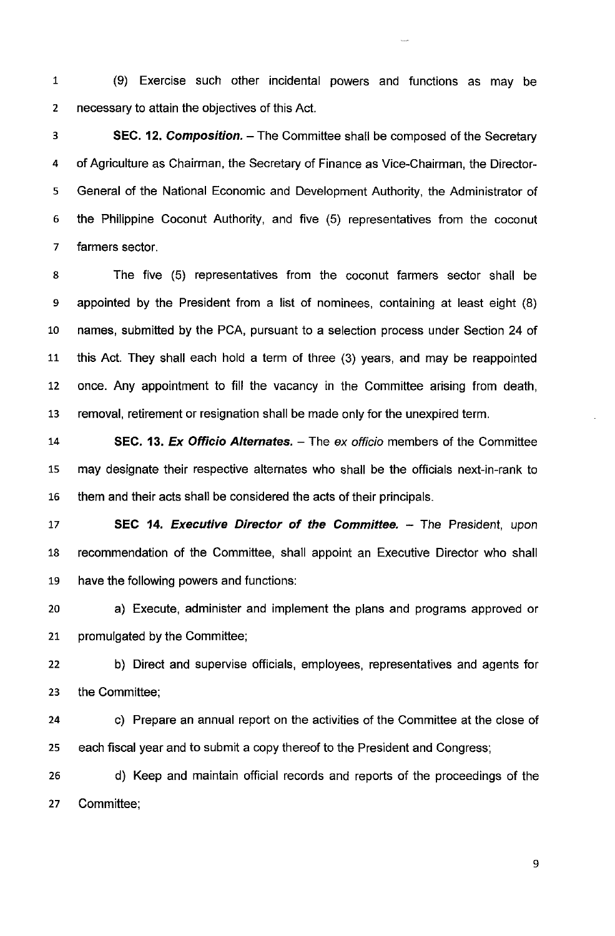1 (9) Exercise such other incidental powers and functions as may be necessary to attain the objectives of this Act.

**SEC. 12. Composition.** - The Committee shall be composed of the Secretary of Agriculture as Chairman, the Secretary of Finance as Vice-Chairman, the Directors General of the National Economic and Development Authority, the Administrator of the Philippine Coconut Authority, and five (5) representatives from the coconut farmers sector.

8 The five (5) representatives from the coconut farmers sector shall be appointed by the President from a list of nominees, containing at least eight (8) names, submitted by the PCA, pursuant to a selection process under Section 24 of 11 this Act. They shall each hold a term of three (3) years, and may be reappointed once. Any appointment to fill the vacancy in the Committee arising from death, 13 removal, retirement or resignation shall be made only for the unexpired term.

**SEC. 13. Ex Officio Alternates.** - The ex officio members of the Committee may designate their respective altemates who shall be the officials next-in-rank to 16 them and their acts shall be considered the acts of their principals.

**SEC 14. Executive Director of the Committee.** - The President, upon 18 recommendation of the Committee, shall appoint an Executive Director who shall have the following powers and functions:

a) Execute, administer and implement the plans and programs approved or promulgated by the Committee;

b) Direct and supervise officials, employees, representatives and agents for the Committee;

c) Prepare an annual report on the activities of the Committee **at** the close of each fiscal year and to submit a copy thereof to the President and Congress;

d) Keep and maintain official records and reports of the proceedings of the Committee;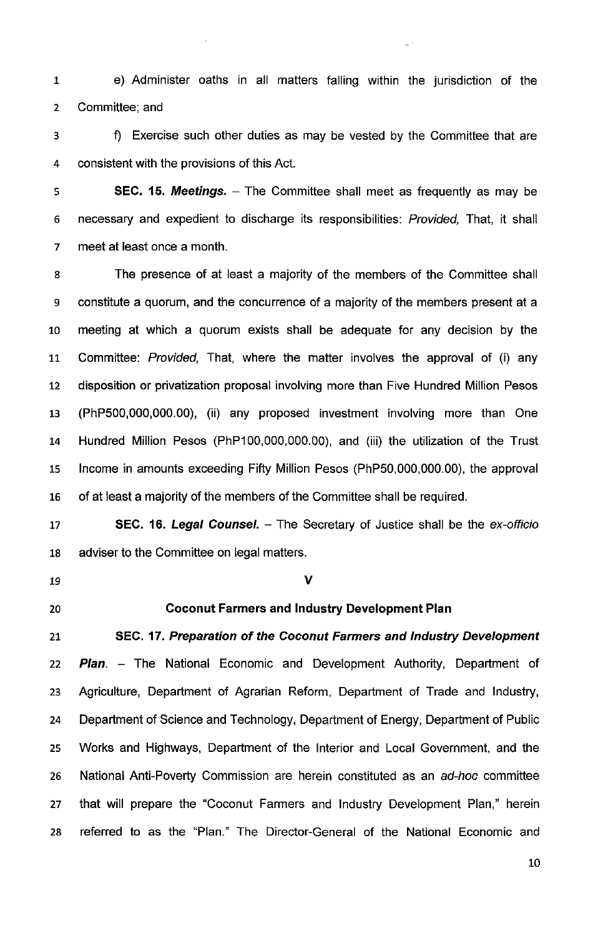1 e) Administer oaths in all matters falling within the jurisdiction of the Committee; and

f) Exercise such other duties as may be vested by the Committee that are consistent with the provisions of this Act.

**SEC. 15. Meetings.** - The Committee shall meet as frequently as may be necessary and expedient to discharge its responsibilities: Provided, That, it shall meet at least once a month.

8 The presence of at least a majority of the members of the Committee shall 9 constitute a quorum, and the concurrence of a majority of the members present at a meeting at which a quorum exists shall be adequate for any decision by the 11 Committee: Provided, That, where the matter involves the approval of (i) any disposition or privatization proposal involving more than Five Hundred Million Pesos (PhP500,000,000.00), (ii) any proposed investment involving more than One Hundred Million Pesos (PhP100,000,000.00), and (iii) the utilization of the Trust Income in amounts exceeding Fifty Million Pesos (PhP50,000,000.00), the approval of at least a majority of the members of the Committee shall be required.

**SEC. 16. Legal Counsel.** - The Secretary of Justice shall be the ex-officio adviser to the Committee on legal matters.

 $\mathsf{D}$  V

#### **Coconut Farmers and Industry Development Plan**

**SEC. 17. Preparation of the Coconut Farmers and Industry Development Plan.** - The National Economic and Development Authority, Department of Agriculture, Department of Agrarian Reform, Department of Trade and Industry, Department of Science and Technology, Department of Energy, Department of Public Works and Highways, Department of the Interior and Local Government, and the 26 National Anti-Poverty Commission are herein constituted as an ad-hoc committee 27 that will prepare the "Coconut Farmers and Industry Development Plan," herein referred to as the "Plan." The Director-General of the National Economic and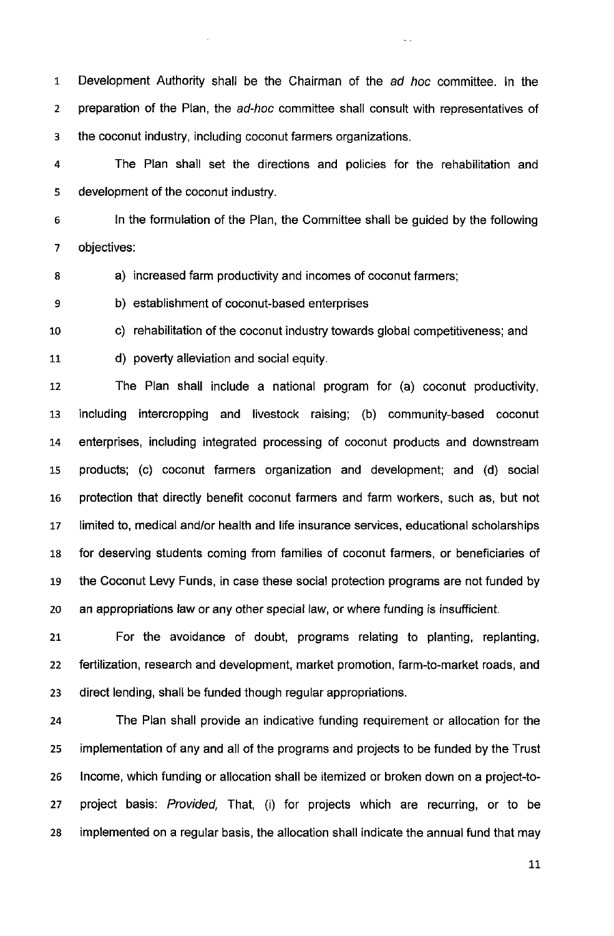1 Development Authority shall be the Chairman of the ad hoc committee. In the 2 preparation of the Plan, the ad-hoc committee shall consult with representatives of 3 the coconut industry, including coconut farmers organizations.

 $\sim$   $\sim$ 

4 The Plan shall set the directions and policies for the rehabilitation and 5 development of the coconut industry.

6 In the formulation of the Plan, the Committee shall be guided by the following 7 objectives:

8 a) increased farm productivity and incomes of coconut farmers;

9 b) establishment of coconut-based enterprises

10 c) rehabilitation of the coconut industry towards global competitiveness; and

11 d) poverty alleviation and social equity.

12 The Plan shall include a national program for (a) coconut productivity, 13 including intercropping and livestock raising; (b) community-based coconut 14 enterprises, including integrated processing of coconut products and downstream 15 products; (c) coconut farmers organization and development; and (d) social 16 protection that directly benefit coconut farmers and farm workers, such as, but not 17 limited to, medical and/or health and life insurance services, educational scholarships 18 for deserving students coming from families of coconut farmers, or beneficiaries of 19 the Coconut Levy Funds, in case these social protection programs are not funded by 20 an appropriations law or any other special law, or where funding is insufficient.

21 For the avoidance of doubt, programs relating to planting, replanting, 22 fertilization, research and development, market promotion, farm-to-market roads, and 23 direct lending, shall be funded though regular appropriations.

24 The Plan shall provide an indicative funding requirement or allocation for the 25 implementation of any and all of the programs and projects to be funded by the Trust 26 Income, which funding or allocation shall be itemized or broken down on a project-to-27 project basis: Provided, That, (i) for projects which are recurring, or to be 28 implemented on a regular basis, the allocation shall indicate the annual fund that may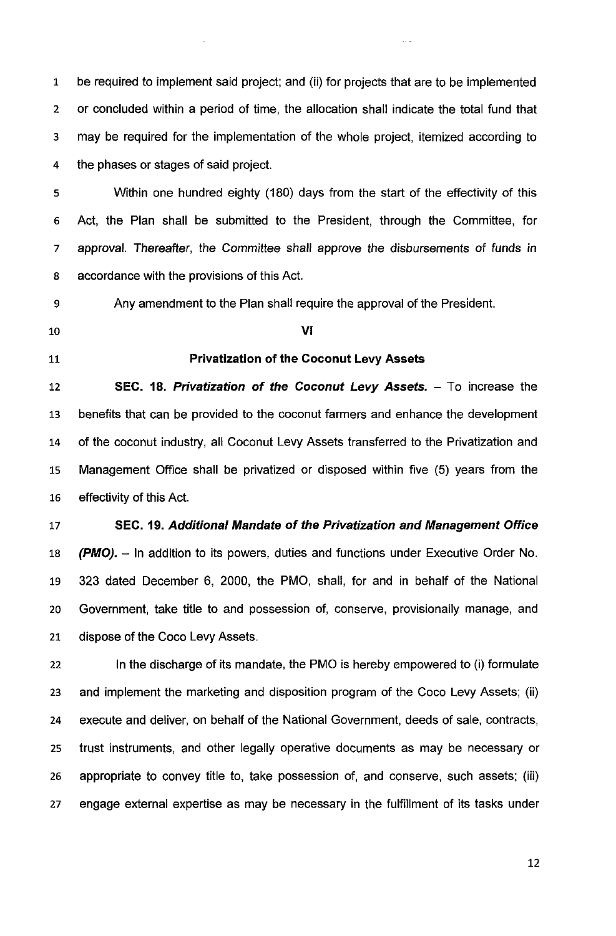1 be required to implement said project; and (ii) for projects that are to be implemented 2 or concluded within a period of time, the allocation shall indicate the total fund that 3 may be required for the implementation of the whole project, itemized according to the phases or stages of said project.

5 Within one hundred eighty (180) days from the start of the effectivity of this Act, the Plan shall be submitted to the President, through the Committee, for approval. Thereafter, the Committee shall approve the disbursements of funds in accordance with the provisions of this Act.

9 Any amendment to the Plan shall require the approval of the President.

VI

#### 11 Privatization of the Coconut Levy Assets

12 SEC. 18. Privatization of the Coconut Levy Assets. - To increase the benefits that can be provided to the coconut farmers and enhance the development of the coconut industry, all Coconut Levy Assets transferred to the Privatization and Management Office shall be privatized or disposed within five (5) years from the effectivity of this Act.

# SEC. 19. Additional Mandate of the Privatization and Management Office

**(PMO).** – In addition to its powers, duties and functions under Executive Order No. 323 dated December 6, 2000, the PMO, shall, for and in behalf of the National Government, take title to and possession of, conserve, provisionally manage, and dispose of the Coco Levy Assets.

22 In the discharge of its mandate, the PMO is hereby empowered to (i) formulate and implement the marketing and disposition program of the Coco Levy Assets; (ii) execute and deliver, on behalf of the National Government, deeds of sale, contracts, trust instruments, and other legally operative documents as may be necessary or appropriate to convey title to, take possession of, and conserve, such assets; (iii) 27 engage external expertise as may be necessary in the fulfillment of its tasks under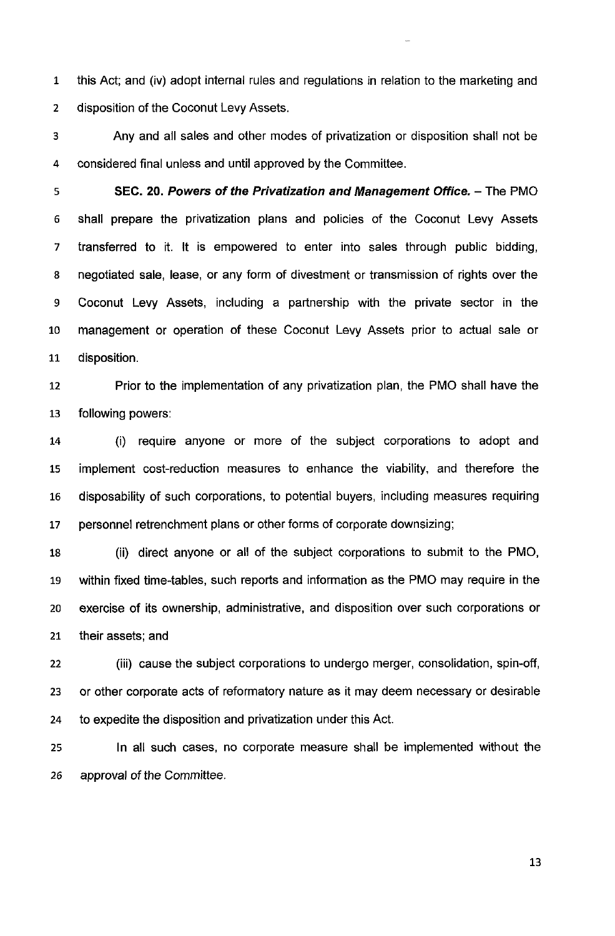1 this Act; and (iv) adopt internal rules and regulations in relation to the marketing and disposition of the Coconut Levy Assets.

Any and all sales and other modes of privatization or disposition shall not be considered final unless and until approved by the Committee.

**SEC. 20. Powers of the Privatization and Management Office.** - The PMO 6 shall prepare the privatization plans and policies of the Coconut Levy Assets 7 transferred to it. It is empowered to enter into sales through public bidding, negotiated sale, lease, or any form of divestment or transmission of rights over the 9 Coconut Levy Assets, including a partnership with the private sector in the 10 management or operation of these Coconut Levy Assets prior to actual sale or 11 disposition.

Prior to the implementation of any privatization plan, the PMO shall have the following powers:

(i) require anyone or more of the subject corporations to adopt and implement cost-reduction measures to enhance the viability, and therefore the disposability of such corporations, to potential buyers, including measures requiring personnel retrenchment plans or other forms of corporate downsizing;

18 (ii) direct anyone or all of the subject corporations to submit to the PMO, within fixed time-tables, such reports and information as the PMO may require in the 20 exercise of its ownership, administrative, and disposition over such corporations or their assets; and

(iii) cause the subject corporations to undergo merger, consolidation, spin-off, or other corporate acts of reformatory nature as it may deem necessary or desirable 24 to expedite the disposition and privatization under this Act.

In all such cases, no corporate measure shall be implemented without the 26 approval of the Committee.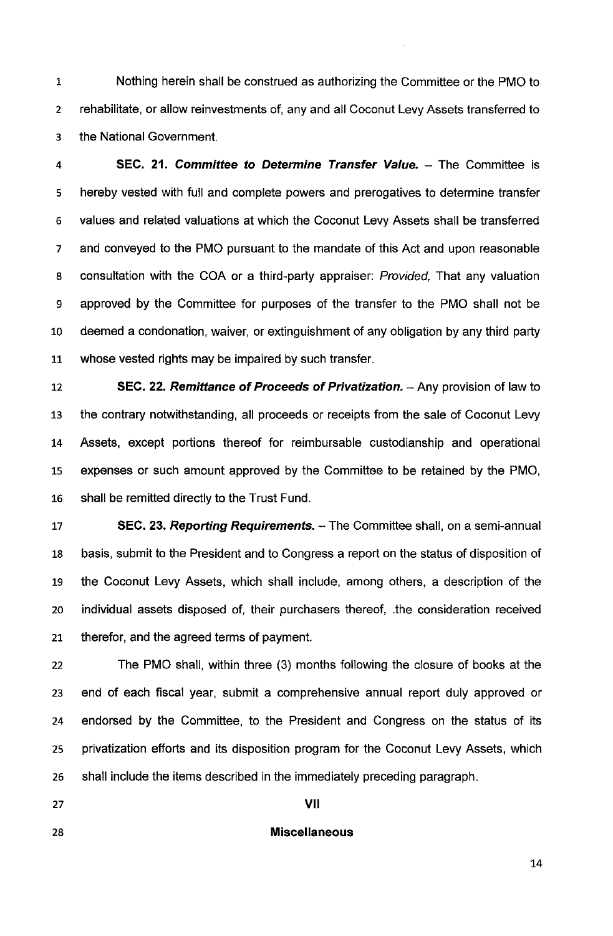1 Nothing herein shall be construed as authorizing the Committee or the PMO to 2 rehabilitate, or allow reinvestments of, any and all Coconut Levy Assets transferred to 3 the National Government.

4 **SEC. 21. Committee to Determine Transfer Value.** - The Committee is 5 hereby vested with full and complete powers and prerogatives to determine transfer 6 values and related valuations at which the Coconut Levy Assets shall be transferred 7 and conveyed to the PMO pursuant to the mandate of this Act and upon reasonable 8 consultation with the COA or a third-party appraiser: Provided, That any valuation 9 approved by the Committee for purposes of the transfer to the PMO shall not be 10 deemed a condonation, waiver, or extinguishment of any obligation by any third party 11 whose vested rights may be impaired by such transfer.

12 **SEC. 22. Remittance of Proceeds of Privatization.** - Any provision of law to 13 the contrary notwithstanding, all proceeds or receipts from the sale of Coconut Levy 14 Assets, except portions thereof for reimbursable custodianship and operational 15 expenses or such amount approved by the Committee to be retained by the PMO, 16 shall be remitted directly to the Trust Fund.

17 **SEC. 23. Reporting Requirements.** - The Committee shall, on a semi-annual 18 basis, submit to the President and to Congress a report on the status of disposition of 19 the Coconut Levy Assets, which shall include, among others, a description of the 20 individual assets disposed of, their purchasers thereof, .the consideration received 21 therefor, and the agreed terms of payment.

22 The PMO shall, within three (3) months following the closure of books at the 23 end of each fiscal year, submit a comprehensive annual report duly approved or 24 endorsed by the Committee, to the President and Congress on the status of its 25 privatization efforts and its disposition program for the Coconut Levy Assets, which 26 shall include the items described in the immediately preceding paragraph.

 $\frac{1}{27}$  **VII** 

#### 28 **Miscellaneous**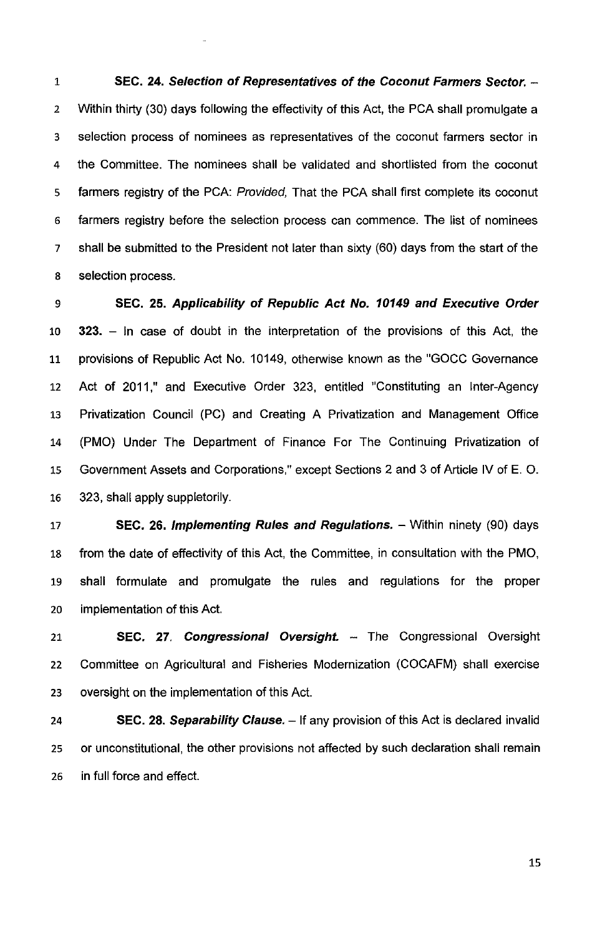**SEC. 24. Selection of Representatives of the Coconut Farmers Sector.** - Within thirty (30) days following the effectivity of this Act, the PCA shall promulgate a 3 selection process of nominees as representatives of the coconut farmers sector in the Committee. The nominees shall be validated and shortlisted from the coconut 5 farmers registry of the PCA: Provided, That the PCA shall first complete its coconut farmers registry before the selection process can commence. The list of nominees shall be submitted to the President not later than sixty (60) days from the start of the 8 selection process.

**SEC. 25. Applicability of Republic Act No. 10149 and Executive Order 323.** - In case of doubt in the interpretation of the provisions of this Act, the 11 provisions of Republic Act No. 10149, otherwise known as the "GOCC Governance Act of 2011," and Executive Order 323, entitled "Constituting an Inter-Agency Privatization Council (PC) and Creating A Privatization and Management Office (PMO) Under The Department of Finance For The Continuing Privatization of 15 Government Assets and Corporations," except Sections 2 and 3 of Article IV of E. O. 16 323, shall apply suppletorily.

**SEC. 26. Implementing Rules and Regulations.** - Within ninety (90) days 18 from the date of effectivity of this Act, the Committee, in consultation with the PMO, 19 shall formulate and promulgate the rules and regulations for the proper implementation of this Act.

**SEC. 27. Congressional Oversight.** - The Congressional Oversight Committee on Agricultural and Fisheries Modernization (COCAFM) shall exercise oversight on the implementation of this Act.

**SEC. 28. Separability Clause.** - If any provision of this Act is declared invalid 25 or unconstitutional, the other provisions not affected by such declaration shall remain 26 in full force and effect.